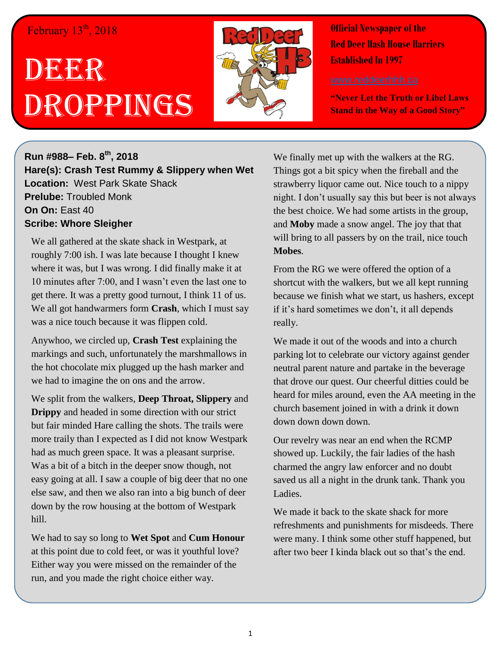## February  $13<sup>th</sup>$ , 2018

## DEERR Droppings



**Official Newspaper of the Red Deer Hash House Harriers Established In 1997** 

**"Never Let the Truth or Libel Laws Stand in the Way of a Good Story"**

**Run #988– Feb. 8 th, 2018 Hare(s): Crash Test Rummy & Slippery when Wet Location:** West Park Skate Shack **Prelube:** Troubled Monk **On On:** East 40 **Scribe: Whore Sleigher**

We all gathered at the skate shack in Westpark, at roughly 7:00 ish. I was late because I thought I knew where it was, but I was wrong. I did finally make it at 10 minutes after 7:00, and I wasn't even the last one to get there. It was a pretty good turnout, I think 11 of us. We all got handwarmers form **Crash**, which I must say was a nice touch because it was flippen cold.

Anywhoo, we circled up, **Crash Test** explaining the markings and such, unfortunately the marshmallows in the hot chocolate mix plugged up the hash marker and we had to imagine the on ons and the arrow.

We split from the walkers, **Deep Throat, Slippery** and **Drippy** and headed in some direction with our strict but fair minded Hare calling the shots. The trails were more traily than I expected as I did not know Westpark had as much green space. It was a pleasant surprise. Was a bit of a bitch in the deeper snow though, not easy going at all. I saw a couple of big deer that no one else saw, and then we also ran into a big bunch of deer down by the row housing at the bottom of Westpark hill.

We had to say so long to **Wet Spot** and **Cum Honour** at this point due to cold feet, or was it youthful love? Either way you were missed on the remainder of the run, and you made the right choice either way.

We finally met up with the walkers at the RG. Things got a bit spicy when the fireball and the strawberry liquor came out. Nice touch to a nippy night. I don't usually say this but beer is not always the best choice. We had some artists in the group, and **Moby** made a snow angel. The joy that that will bring to all passers by on the trail, nice touch **Mobes**.

From the RG we were offered the option of a shortcut with the walkers, but we all kept running because we finish what we start, us hashers, except if it's hard sometimes we don't, it all depends really.

We made it out of the woods and into a church parking lot to celebrate our victory against gender neutral parent nature and partake in the beverage that drove our quest. Our cheerful ditties could be heard for miles around, even the AA meeting in the church basement joined in with a drink it down down down down.

Our revelry was near an end when the RCMP showed up. Luckily, the fair ladies of the hash charmed the angry law enforcer and no doubt saved us all a night in the drunk tank. Thank you Ladies.

We made it back to the skate shack for more refreshments and punishments for misdeeds. There were many. I think some other stuff happened, but after two beer I kinda black out so that's the end.